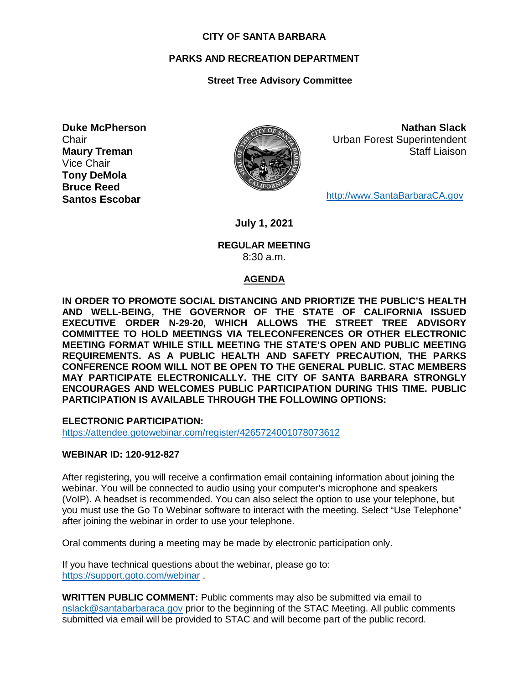#### **CITY OF SANTA BARBARA**

## **PARKS AND RECREATION DEPARTMENT**

# **Street Tree Advisory Committee**

**Duke McPherson Chair Maury Treman** Vice Chair **Tony DeMola Bruce Reed Santos Escobar**



**Nathan Slack** Urban Forest Superintendent Staff Liaison

[http://www.SantaBarbaraCA.gov](http://www.santabarbaraca.gov/)

**July 1, 2021**

#### **REGULAR MEETING** 8:30 a.m.

## **AGENDA**

**IN ORDER TO PROMOTE SOCIAL DISTANCING AND PRIORTIZE THE PUBLIC'S HEALTH AND WELL-BEING, THE GOVERNOR OF THE STATE OF CALIFORNIA ISSUED EXECUTIVE ORDER N-29-20, WHICH ALLOWS THE STREET TREE ADVISORY COMMITTEE TO HOLD MEETINGS VIA TELECONFERENCES OR OTHER ELECTRONIC MEETING FORMAT WHILE STILL MEETING THE STATE'S OPEN AND PUBLIC MEETING REQUIREMENTS. AS A PUBLIC HEALTH AND SAFETY PRECAUTION, THE PARKS CONFERENCE ROOM WILL NOT BE OPEN TO THE GENERAL PUBLIC. STAC MEMBERS MAY PARTICIPATE ELECTRONICALLY. THE CITY OF SANTA BARBARA STRONGLY ENCOURAGES AND WELCOMES PUBLIC PARTICIPATION DURING THIS TIME. PUBLIC PARTICIPATION IS AVAILABLE THROUGH THE FOLLOWING OPTIONS:**

**ELECTRONIC PARTICIPATION:** 

<https://attendee.gotowebinar.com/register/4265724001078073612>

#### **WEBINAR ID: 120-912-827**

After registering, you will receive a confirmation email containing information about joining the webinar. You will be connected to audio using your computer's microphone and speakers (VoIP). A headset is recommended. You can also select the option to use your telephone, but you must use the Go To Webinar software to interact with the meeting. Select "Use Telephone" after joining the webinar in order to use your telephone.

Oral comments during a meeting may be made by electronic participation only.

If you have technical questions about the webinar, please go to: <https://support.goto.com/webinar> .

**WRITTEN PUBLIC COMMENT:** Public comments may also be submitted via email to [nslack@santabarbaraca.gov](mailto:nslack@santabarbaraca.gov) prior to the beginning of the STAC Meeting. All public comments submitted via email will be provided to STAC and will become part of the public record.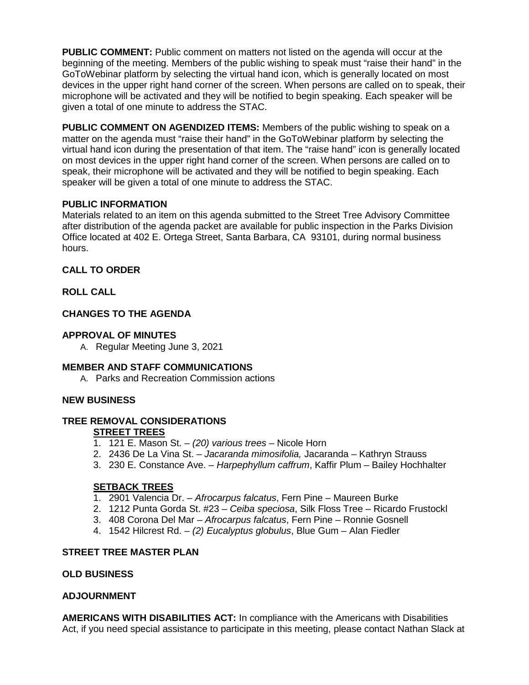**PUBLIC COMMENT:** Public comment on matters not listed on the agenda will occur at the beginning of the meeting. Members of the public wishing to speak must "raise their hand" in the GoToWebinar platform by selecting the virtual hand icon, which is generally located on most devices in the upper right hand corner of the screen. When persons are called on to speak, their microphone will be activated and they will be notified to begin speaking. Each speaker will be given a total of one minute to address the STAC.

**PUBLIC COMMENT ON AGENDIZED ITEMS:** Members of the public wishing to speak on a matter on the agenda must "raise their hand" in the GoToWebinar platform by selecting the virtual hand icon during the presentation of that item. The "raise hand" icon is generally located on most devices in the upper right hand corner of the screen. When persons are called on to speak, their microphone will be activated and they will be notified to begin speaking. Each speaker will be given a total of one minute to address the STAC.

## **PUBLIC INFORMATION**

Materials related to an item on this agenda submitted to the Street Tree Advisory Committee after distribution of the agenda packet are available for public inspection in the Parks Division Office located at 402 E. Ortega Street, Santa Barbara, CA 93101, during normal business hours.

# **CALL TO ORDER**

# **ROLL CALL**

# **CHANGES TO THE AGENDA**

# **APPROVAL OF MINUTES**

A. Regular Meeting June 3, 2021

## **MEMBER AND STAFF COMMUNICATIONS**

A. Parks and Recreation Commission actions

## **NEW BUSINESS**

#### **TREE REMOVAL CONSIDERATIONS STREET TREES**

- 1. 121 E. Mason St. *(20) various trees* Nicole Horn
- 2. 2436 De La Vina St. *Jacaranda mimosifolia,* Jacaranda Kathryn Strauss
- 3. 230 E. Constance Ave. *Harpephyllum caffrum*, Kaffir Plum Bailey Hochhalter

# **SETBACK TREES**

- 1. 2901 Valencia Dr. *Afrocarpus falcatus*, Fern Pine Maureen Burke
- 2. 1212 Punta Gorda St. #23 *Ceiba speciosa*, Silk Floss Tree Ricardo Frustockl
- 3. 408 Corona Del Mar *Afrocarpus falcatus*, Fern Pine Ronnie Gosnell
- 4. 1542 Hilcrest Rd. *(2) Eucalyptus globulus*, Blue Gum Alan Fiedler

## **STREET TREE MASTER PLAN**

## **OLD BUSINESS**

## **ADJOURNMENT**

**AMERICANS WITH DISABILITIES ACT:** In compliance with the Americans with Disabilities Act, if you need special assistance to participate in this meeting, please contact Nathan Slack at